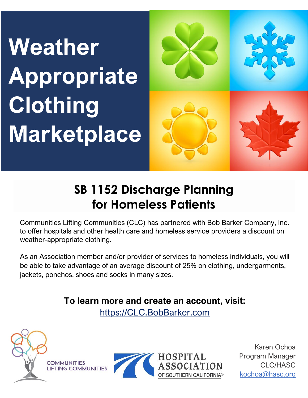# **Weather Appropriate Clothing Marketplace**



## **SB 1152 Discharge Planning for Homeless Patients**

Communities Lifting Communities (CLC) has partnered with Bob Barker Company, Inc. to offer hospitals and other health care and homeless service providers a discount on weather-appropriate clothing.

As an Association member and/or provider of services to homeless individuals, you will be able to take advantage of an average discount of 25% on clothing, undergarments, jackets, ponchos, shoes and socks in many sizes.

**To learn more and create an account, visit:** 

[https://CLC.BobBarker.com](https://clc.bobbarker.com/)



**COMMUNITIES LIFTING COMMUNITIES** 



Karen Ochoa Program Manager CLC/HASC [kochoa@hasc.org](mailto:kochoa@hasc.org)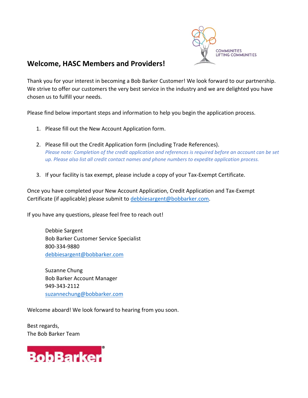

#### **Welcome, HASC Members and Providers!**

Thank you for your interest in becoming a Bob Barker Customer! We look forward to our partnership. We strive to offer our customers the very best service in the industry and we are delighted you have chosen us to fulfill your needs.

Please find below important steps and information to help you begin the application process.

- 1. Please fill out the New Account Application form.
- 2. Please fill out the Credit Application form (including Trade References). *Please note: Completion of the credit application and references is required before an account can be set up. Please also list all credit contact names and phone numbers to expedite application process.*
- 3. If your facility is tax exempt, please include a copy of your Tax‐Exempt Certificate.

Once you have completed your New Account Application, Credit Application and Tax‐Exempt Certificate (if applicable) please submit to debbiesargent@bobbarker.com.

If you have any questions, please feel free to reach out!

Debbie Sargent Bob Barker Customer Service Specialist 800‐334‐9880 debbiesargent@bobbarker.com

Suzanne Chung Bob Barker Account Manager 949‐343‐2112 suzannechung@bobbarker.com

Welcome aboard! We look forward to hearing from you soon.

Best regards, The Bob Barker Team

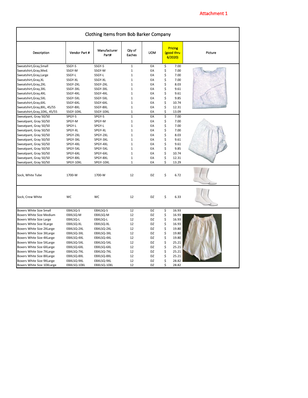| Clothing Items from Bob Barker Company |               |                       |                  |            |    |                                        |         |
|----------------------------------------|---------------|-----------------------|------------------|------------|----|----------------------------------------|---------|
| Description                            | Vendor Part # | Manufacturer<br>Part# | Qty of<br>Eaches | <b>UOM</b> |    | <b>Pricing</b><br>(good thru<br>6/2020 | Picture |
| Sweatshirt, Gray, Small                | SSGY-S        | SSGY-S                | $\mathbf 1$      | EA         | \$ | 7.00                                   |         |
| Sweatshirt, Gray, Med.                 | SSGY-M        | SSGY-M                | $\mathbf{1}$     | EA         | \$ | 7.00                                   |         |
| Sweatshirt, Gray, Large                | SSGY-L        | SSGY-L                | $\mathbf 1$      | EA         | \$ | 7.00                                   |         |
| Sweatshirt, Gray, XL                   | SSGY-XL       | SSGY-XL               | $\mathbf{1}$     | EA         | \$ | 7.00                                   |         |
| Sweatshirt, Gray, 2XL                  | SSGY-2XL      | SSGY-2XL              | $\mathbf{1}$     | EA         | \$ | 8.03                                   |         |
| Sweatshirt, Gray, 3XL                  | SSGY-3XL      | SSGY-3XL              | $\mathbf{1}$     | EA         | \$ | 9.61                                   |         |
| Sweatshirt, Gray, 4XL                  | SSGY-4XL      | SSGY-4XL              | $\mathbf 1$      | EA         | \$ | 9.61                                   |         |
| Sweatshirt, Gray, 5XL                  | SSGY-5XL      | SSGY-5XL              | $\mathbf{1}$     | EA         | \$ | 9.85                                   |         |
| Sweatshirt, Gray, 6XL                  | SSGY-6XL      | SSGY-6XL              | $\mathbf 1$      | EA         | \$ | 10.74                                  |         |
| Sweatshirt, Gray, 8XL, 45/55           | SSGY-8XL      | SSGY-8XL              | $\mathbf 1$      | EA         | \$ | 12.31                                  |         |
| Sweatshirt, Gray, 10XL, 45/55          | SSGY-10XL     | SSGY-10XL             | $\mathbf{1}$     | EA         | \$ | 13.09                                  |         |
| Sweatpant, Gray 50/50                  | SPGY-S        | SPGY-S                | $\overline{1}$   | EA         | \$ | 7.00                                   |         |
| Sweatpant, Gray 50/50                  | SPGY-M        | SPGY-M                | $\mathbf 1$      | EA         | \$ | 7.00                                   |         |
| Sweatpant, Gray 50/50                  | SPGY-L        | SPGY-L                | $\mathbf{1}$     | EA         | \$ | 7.00                                   |         |
| Sweatpant, Gray 50/50                  | SPGY-XL       | SPGY-XL               | $\mathbf 1$      | EA         | \$ | 7.00                                   |         |
| Sweatpant, Gray 50/50                  | SPGY-2XL      | SPGY-2XL              | $\mathbf 1$      | EA         | \$ | 8.03                                   |         |
| Sweatpant, Gray 50/50                  | SPGY-3XL      | SPGY-3XL              | $\mathbf 1$      | EA         | \$ | 9.61                                   |         |
| Sweatpant, Gray 50/50                  | SPGY-4XL      | SPGY-4XL              | $\mathbf{1}$     | EA         | \$ | 9.61                                   |         |
| Sweatpant, Gray 50/50                  | SPGY-5XL      | SPGY-5XL              | $\mathbf 1$      | EA         | \$ | 9.85                                   |         |
| Sweatpant, Gray 50/50                  | SPGY-6XL      | SPGY-6XL              | $\mathbf{1}$     | EA         | \$ | 10.74                                  |         |
| Sweatpant, Gray 50/50                  | SPGY-8XL      | SPGY-8XL              | $\mathbf 1$      | EA         | \$ | 12.31                                  |         |
| Sweatpant, Gray 50/50                  | SPGY-10XL     | SPGY-10XL             | $\mathbf 1$      | EA         | \$ | 13.29                                  |         |
|                                        |               |                       |                  |            |    |                                        |         |
| Sock, White Tube                       | 1700-W        | 1700-W                | 12               | DZ         | \$ | 6.72                                   |         |
| Sock, Crew White                       | <b>WC</b>     | <b>WC</b>             | 12               | DZ         | \$ | 6.33                                   |         |
| <b>Boxers White Size Small</b>         | EBXLSQ-S      | EBXLSQ-S              | 12               | DZ         | \$ | 16.93                                  |         |
| Boxers White Size Medium               | EBXLSQ-M      | EBXLSQ-M              | 12               | DZ         | \$ | 16.93                                  |         |
| Boxers White Size Large                | EBXLSQ-L      | EBXLSQ-L              | 12               | DZ         | \$ | 16.93                                  |         |
| Boxers White Size XLarge               | EBXLSQ-XL     | EBXLSQ-XL             | 12               | DZ         | \$ | 16.93                                  |         |
| Boxers White Size 2XLarge              | EBXLSQ-2XL    | EBXLSQ-2XL            | 12               | DZ         | \$ | 19.80                                  |         |
| Boxers White Size 3XLarge              | EBXLSQ-3XL    | EBXLSQ-3XL            | 12               | DZ         | \$ | 19.80                                  |         |
| Boxers White Size 4XLarge              | EBXLSQ-4XL    | EBXLSQ-4XL            | 12               | DZ         | \$ | 19.80                                  |         |
| Boxers White Size 5XLarge              | EBXLSQ-5XL    | EBXLSQ-5XL            | 12               | DZ         | \$ | 25.21                                  |         |
| Boxers White Size 6XLarge              | EBXLSQ-6XL    | EBXLSQ-6XL            | 12               | DZ         | \$ | 25.21                                  |         |
| Boxers White Size 7XLarge              | EBXLSQ-7XL    | EBXLSQ-7XL            | 12               | DZ         | \$ | 25.21                                  |         |
| Boxers White Size 8XLarge              | EBXLSQ-8XL    | EBXLSQ-8XL            | 12               | DZ         | \$ | 25.21                                  |         |
| Boxers White Size 9XLarge              | EBXLSQ-9XL    | EBXLSQ-9XL            | 12               | DZ         | \$ | 28.82                                  |         |
| Boxers White Size 10XLarge             | EBXLSQ-10XL   | EBXLSQ-10XL           | 12               | DZ         | Ś  | 28.82                                  |         |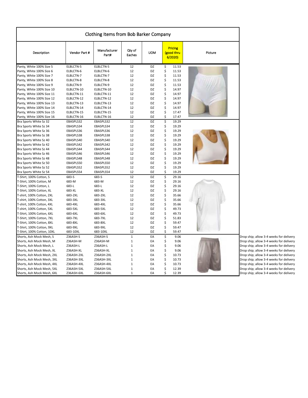| Clothing Items from Bob Barker Company |               |                       |                  |            |    |                                        |         |
|----------------------------------------|---------------|-----------------------|------------------|------------|----|----------------------------------------|---------|
| Description                            | Vendor Part # | Manufacturer<br>Part# | Qty of<br>Eaches | <b>UOM</b> |    | <b>Pricing</b><br>(good thru<br>6/2020 | Picture |
| Panty, White 100% Size 5               | ELBLCTN-5     | ELBLCTN-5             | 12               | DZ         | \$ | 11.53                                  |         |
| Panty, White 100% Size 6               | ELBLCTN-6     | ELBLCTN-6             | 12               | DZ         | \$ | 11.53                                  |         |
| Panty, White 100% Size 7               | ELBLCTN-7     | ELBLCTN-7             | 12               | DZ         | \$ | 11.53                                  |         |
| Panty, White 100% Size 8               | ELBLCTN-8     | ELBLCTN-8             | 12               | DZ         | \$ | 11.53                                  |         |
| Panty, White 100% Size 9               | ELBLCTN-9     | ELBLCTN-9             | 12               | DZ         | \$ | 11.53                                  |         |
| Panty, White 100% Size 10              | ELBLCTN-10    | ELBLCTN-10            | 12               | DZ         | \$ | 14.97                                  |         |
| Panty, White 100% Size 11              | ELBLCTN-11    | ELBLCTN-11            | 12               | DZ         | \$ | 14.97                                  |         |
| Panty, White 100% Size 12              | ELBLCTN-12    | ELBLCTN-12            | 12               | DZ         | \$ | 14.97                                  |         |
| Panty, White 100% Size 13              | ELBLCTN-13    | ELBLCTN-13            | 12               | DZ         | \$ | 14.97                                  |         |
| Panty, White 100% Size 14              | ELBLCTN-14    | ELBLCTN-14            | 12               | DZ         | \$ | 14.97                                  |         |
| Panty, White 100% Size 15              | ELBLCTN-15    | ELBLCTN-15            | 12               | DZ         | \$ | 17.47                                  |         |
| Panty, White 100% Size 16              | ELBLCTN-16    | ELBLCTN-16            | 12               | DZ         | \$ | 17.47                                  |         |
| Bra Sports White Sz 32                 | EBASPLS32     | EBASPLS32             | 12               | DZ         | \$ | 19.29                                  |         |
| Bra Sports White Sz 34                 | EBASPLS34     | EBASPLS34             | 12               | DZ         | \$ | 19.29                                  |         |
| Bra Sports White Sz 36                 | EBASPLS36     | EBASPLS36             | 12               | DZ         | \$ | 19.29                                  |         |
| Bra Sports White Sz 38                 | EBASPLS38     | EBASPLS38             | 12               | DZ         | \$ | 19.29                                  |         |
| Bra Sports White Sz 40                 | EBASPLS40     | EBASPLS40             | 12               | DZ         | \$ | 19.29                                  |         |
| Bra Sports White Sz 42                 | EBASPLS42     | EBASPLS42             | 12               | DZ         | \$ | 19.29                                  |         |
| Bra Sports White Sz 44                 | EBASPLS44     | EBASPLS44             | 12               | DZ         | \$ | 19.29                                  |         |
| Bra Sports White Sz 46                 | EBASPLS46     | EBASPLS46             | 12               | DZ         | \$ | 19.29                                  |         |
|                                        |               |                       | 12               | DZ         | \$ |                                        |         |
| Bra Sports White Sz 48                 | EBASPLS48     | EBASPLS48             |                  |            |    | 19.29                                  |         |
| Bra Sports White Sz 50                 | EBASPLS50     | EBASPLS50             | 12               | DZ         | \$ | 19.29                                  |         |
| Bra Sports White Sz 52                 | EBASPLS52     | EBASPLS52             | 12               | DZ         | \$ | 19.29                                  |         |
| Bra Sports White Sz 54                 | EBASPLS54     | EBASPLS54             | 12               | DZ         | \$ | 19.29                                  |         |
| T-Shirt, 100% Cotton, S                | 683-S         | 683-S                 | 12               | DZ         | \$ | 29.16                                  |         |
| T-Shirt, 100% Cotton, M                | 683-M         | 683-M                 | 12               | DZ         | \$ | 29.16                                  |         |
| T-Shirt, 100% Cotton, L                | 683-L         | 683-L                 | 12               | DZ         | \$ | 29.16                                  |         |
| T-Shirt, 100% Cotton, XL               | 683-XL        | 683-XL                | 12               | DZ         | \$ | 29.16                                  |         |
| T-shirt, 100% Cotton, 2XL              | 683-2XL       | 683-2XL               | 12               | DZ         | \$ | 35.66                                  |         |
| T-shirt, 100% Cotton, 3XL              | 683-3XL       | 683-3XL               | 12               | DZ         | \$ | 35.66                                  |         |
| T-shirt, 100% Cotton, 4XL              | 683-4XL       | 683-4XL               | 12               | DZ         | \$ | 35.66                                  |         |
| T-shirt, 100% Cotton, 5XL              | 683-5XL       | 683-5XL               | 12               | DZ         | \$ | 49.73                                  |         |
| T-Shirt, 100% Cotton, 6XL              | 683-6XL       | 683-6XL               | 12               | DZ         | \$ | 49.73                                  |         |
| T-Shirt, 100% Cotton, 7XL              | 683-7XL       | 683-7XL               | 12               | DZ         | \$ | 51.83                                  |         |
| T-Shirt, 100% Cotton, 8XL              | 683-8XL       | 683-8XL               | 12               | DZ         | \$ | 59.47                                  |         |
| T-Shirt, 100% Cotton, 9XL              | 683-9XL       | 683-9XL               | 12               | DZ         | \$ | 59.47                                  |         |
| T-Shirt, 100% Cotton, 10XL             | 683-10XL      | 683-10XL              | 12               | DZ         | \$ | 59.47                                  |         |
| Shorts, Ash Mock Mesh, S               | Z36ASH-S      | Z36ASH-S              | $\mathbf{1}$     | EA         | \$ | 9.06                                   |         |
| Shorts, Ash Mock Mesh, M               | Z36ASH-M      | Z36ASH-M              | $\mathbf{1}$     | EA         | \$ | 9.06                                   |         |
| Shorts, Ash Mock Mesh, L               | Z36ASH-L      | Z36ASH-L              | $\mathbf 1$      | EA         | \$ | 9.06                                   |         |
| Shorts, Ash Mock Mesh, XL              | Z36ASH-XL     | Z36ASH-XL             | 1                | EA         | \$ | 9.06                                   |         |
| Shorts, Ash Mock Mesh, 2XL             | Z36ASH-2XL    | Z36ASH-2XL            | $\mathbf{1}$     | EA         | \$ | 10.73                                  |         |
| Shorts, Ash Mock Mesh, 3XL             | Z36ASH-3XL    | Z36ASH-3XL            | $\mathbf 1$      | EA         | \$ | 10.73                                  |         |
| Shorts, Ash Mock Mesh, 4XL             | Z36ASH-4XL    | Z36ASH-4XL            | $\mathbf{1}$     | EA         | \$ | 10.73                                  |         |
| Shorts, Ash Mock Mesh, 5XL             | Z36ASH-5XL    | Z36ASH-5XL            | 1                | EA         | \$ | 12.39                                  |         |
| Shorts, Ash Mock Mesh, 6XL             | Z36ASH-6XL    | Z36ASH-6XL            | $\mathbf{1}$     | EA         | Ś  | 12.39                                  |         |

Drop ship; allow 3-4 weeks for delivery Drop ship; allow 3-4 weeks for delivery Shorts, Ash Mock Mesh, 2012<br>Shop ship; allow 3-4 weeks for delivery Drop ship; allow 3-4 weeks for delivery Shop ship; allow 3-4 weeks for delivery Drop ship; allow 3-4 weeks for delivery Drop ship; allow 3-4 weeks for delivery Shop ship; allow 3-4 weeks for delivery Drop ship; allow 3-4 weeks for delivery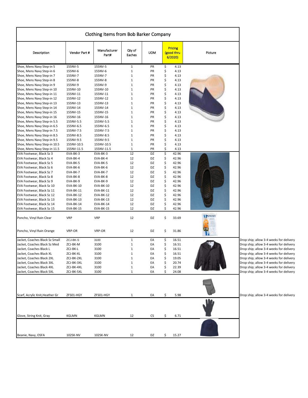|                                                            |                        | Clothing Items from Bob Barker Company |                  |            |          |                                        |         |                                         |
|------------------------------------------------------------|------------------------|----------------------------------------|------------------|------------|----------|----------------------------------------|---------|-----------------------------------------|
| Description                                                | Vendor Part #          | Manufacturer<br>Part#                  | Qty of<br>Eaches | <b>UOM</b> |          | <b>Pricing</b><br>(good thru<br>6/2020 | Picture |                                         |
| Shoe, Mens Navy Step-in 5                                  | 155NV-5                | 155NV-5                                | $1\,$            | PR         | \$       | 4.13                                   |         |                                         |
| Shoe, Mens Navy Step-in 6                                  | 155NV-6                | 155NV-6                                | $\mathbf{1}$     | PR         | \$       | 4.13                                   |         |                                         |
| Shoe, Mens Navy Step-in 7                                  | 155NV-7                | 155NV-7                                | $\mathbf 1$      | PR         | \$       | 4.13                                   |         |                                         |
| Shoe, Mens Navy Step-in 8                                  | 155NV-8                | 155NV-8                                | $\mathbf 1$      | PR         | \$       | 4.13                                   |         |                                         |
| Shoe, Mens Navy Step-in 9                                  | 155NV-9                | 155NV-9                                | $1\,$            | PR         | \$       | 4.13                                   |         |                                         |
| Shoe, Mens Navy Step-in 10                                 | 155NV-10               | 155NV-10                               | $\mathbf 1$      | PR         | \$       | 4.13                                   |         |                                         |
| Shoe, Mens Navy Step-in 11                                 | 155NV-11               | 155NV-11                               | $1\,$            | PR         | \$       | 4.13                                   |         |                                         |
| Shoe, Mens Navy Step-in 12                                 | 155NV-12               | 155NV-12                               | $1\,$            | PR         | \$       | 4.13                                   |         |                                         |
| Shoe, Mens Navy Step-in 13                                 | 155NV-13               | 155NV-13                               | $1\,$            | PR         | \$       | 4.13                                   |         |                                         |
| Shoe, Mens Navy Step-in 14                                 | 155NV-14               | 155NV-14                               | $\mathbf{1}$     | PR         | \$       | 4.13                                   |         |                                         |
| Shoe, Mens Navy Step-in 15                                 | 155NV-15               | 155NV-15                               | $\mathbf{1}$     | PR         | \$       | 4.13                                   |         |                                         |
| Shoe, Mens Navy Step-in 16                                 | 155NV-16               | 155NV-16                               | $\mathbf 1$      | PR         | \$       | 4.13                                   |         |                                         |
| Shoe, Mens Navy Step-in 5.5                                | 155NV-5.5<br>155NV-6.5 | 155NV-5.5<br>155NV-6.5                 | $1\,$<br>$1\,$   | PR<br>PR   | \$<br>\$ | 4.13<br>4.13                           |         |                                         |
| Shoe, Mens Navy Step-in 6.5                                | 155NV-7.5              | 155NV-7.5                              | $1\,$            |            | \$       |                                        |         |                                         |
| Shoe, Mens Navy Step-in 7.5<br>Shoe, Mens Navy Step-in 8.5 | 155NV-8.5              | 155NV-8.5                              | $1\,$            | PR<br>PR   | \$       | 4.13<br>4.13                           |         |                                         |
| Shoe, Mens Navy Step-in 9.5                                | 155NV-9.5              | 155NV-9.5                              | $1\,$            | PR         | \$       | 4.13                                   |         |                                         |
| Shoe, Mens Navy Step-in 10.5                               | 155NV-10.5             | 155NV-10.5                             | $1\,$            | PR         | \$       | 4.13                                   |         |                                         |
| Shoe, Mens Navy Step-in 11.5                               | 155NV-11.5             | 155NV-11.5                             | $\mathbf{1}$     | PR         | \$       | 4.13                                   |         |                                         |
| EVA Footwear, Black Sz 3                                   | EVA-BK-3               | EVA-BK-3                               | 12               | DZ         | \$       | 42.96                                  |         |                                         |
| EVA Footwear, Black Sz 4                                   | EVA-BK-4               | EVA-BK-4                               | 12               | DZ         | \$       | 42.96                                  |         |                                         |
| EVA Footwear, Black Sz 5                                   | EVA-BK-5               | EVA-BK-5                               | 12               | DZ         | \$       | 42.96                                  |         |                                         |
| EVA Footwear, Black Sz 6                                   | EVA-BK-6               | EVA-BK-6                               | 12               | DZ         | \$       | 42.96                                  |         |                                         |
| EVA Footwear, Black Sz 7                                   | EVA-BK-7               | EVA-BK-7                               | 12               | DZ         | \$       | 42.96                                  |         |                                         |
| EVA Footwear, Black Sz 8                                   | EVA-BK-8               | EVA-BK-8                               | 12               | DZ         | \$       | 42.96                                  |         |                                         |
| EVA Footwear, Black Sz 9                                   | EVA-BK-9               | EVA-BK-9                               | 12               | DZ         | \$       | 42.96                                  |         |                                         |
| EVA Footwear, Black Sz 10                                  | EVA-BK-10              | EVA-BK-10                              | 12               | DZ         | \$       | 42.96                                  |         |                                         |
| EVA Footwear, Black Sz 11                                  | <b>EVA-BK-11</b>       | EVA-BK-11                              | 12               | DZ         | \$       | 42.96                                  |         |                                         |
| EVA Footwear, Black Sz 12                                  | EVA-BK-12              | EVA-BK-12                              | 12               | DZ         | \$       | 42.96                                  |         |                                         |
| EVA Footwear, Black Sz 13                                  | EVA-BK-13              | EVA-BK-13                              | 12               | DZ         | \$       | 42.96                                  |         |                                         |
| EVA Footwear, Black Sz 14                                  | EVA-BK-14              | EVA-BK-14                              | 12               | DZ         | \$       | 42.96                                  |         |                                         |
| EVA Footwear, Black Sz 15                                  | EVA-BK-15              | EVA-BK-15                              | 12               | DZ         | \$       | 42.96                                  |         |                                         |
| Poncho, Vinyl Rain Clear                                   | <b>VRP</b>             | <b>VRP</b>                             | 12               | DZ         | \$       | 33.69                                  | PONCHO  |                                         |
| Poncho, Vinyl Rain Orange                                  | VRP-OR                 | VRP-OR                                 | 12               | DZ         | \$       | 31.86                                  |         |                                         |
| Jacket, Coaches Black Sz Small                             | ZCJ-BK-S               | 3100                                   | $\mathbf{1}$     | EA         | \$       | 16.51                                  |         | Drop ship; allow 3-4 weeks for delivery |
| Jacket, Coaches Black Sz Med                               | ZCJ-BK-M               | 3100                                   | $\mathbf{1}$     | EA         | \$       | 16.51                                  |         | Drop ship; allow 3-4 weeks for delivery |
| Jacket, Coaches Black L                                    | ZCJ-BK-L               | 3100                                   | $1\,$            | EA         | \$       | 16.51                                  |         | Drop ship; allow 3-4 weeks for delivery |
| Jacket, Coaches Black XL                                   | ZCJ-BK-XL              | 3100                                   | $\mathbf{1}$     | EA         | \$       | 16.51                                  |         | Drop ship; allow 3-4 weeks for delivery |
| Jacket, Coaches Black 2XL                                  | ZCJ-BK-2XL             | 3100                                   | $1\,$            | EA         | \$       | 19.05                                  |         | Drop ship; allow 3-4 weeks for delivery |
| Jacket, Coaches Black 3XL                                  | ZCJ-BK-3XL             | 3100                                   | $\mathbf{1}$     | EA         | \$       | 20.74                                  |         | Drop ship; allow 3-4 weeks for delivery |
| Jacket, Coaches Black 4XL                                  | ZCJ-BK-4XL             | 3100                                   | $\mathbf{1}$     | EA         | \$       | 22.39                                  |         | Drop ship; allow 3-4 weeks for delivery |
| Jacket, Coaches Black 5XL                                  | ZCJ-BK-5XL             | 3100                                   | $\mathbf{1}$     | EA         | \$       | 24.08                                  |         | Drop ship; allow 3-4 weeks for delivery |
| Scarf, Acrylic Knit, Heather Gr                            | ZFS01-HGY              | ZFS01-HGY                              | $\mathbf{1}$     | EA         | \$       | 5.98                                   |         | Drop ship; allow 3-4 weeks for delivery |
|                                                            |                        |                                        |                  |            |          |                                        |         |                                         |
| Glove, String Knit, Gray                                   | KGLMN                  | KGLMN                                  | 12               | CS         | \$       | 6.71                                   |         |                                         |
|                                                            |                        |                                        |                  |            |          |                                        |         |                                         |
| Beanie, Navy, OSFA                                         | 102SK-NV               | 102SK-NV                               | 12               | DZ         | \$       | 15.27                                  |         |                                         |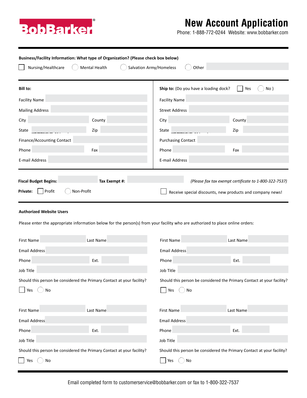

## **New Account Application**

Phone: 1-888-772-0244 Website: www.bobbarker.com

| Business/Facility Information: What type of Organization? (Please check box below) |               |                                                                                                                                |                                                       |  |  |  |
|------------------------------------------------------------------------------------|---------------|--------------------------------------------------------------------------------------------------------------------------------|-------------------------------------------------------|--|--|--|
| Nursing/Healthcare<br>Mental Health<br>Salvation Army/Homeless<br>Other            |               |                                                                                                                                |                                                       |  |  |  |
| Bill to:                                                                           |               | Ship to: (Do you have a loading dock?                                                                                          | Yes<br>No)                                            |  |  |  |
| <b>Facility Name</b>                                                               |               | <b>Facility Name</b>                                                                                                           |                                                       |  |  |  |
| <b>Mailing Address</b>                                                             |               | <b>Street Address</b>                                                                                                          |                                                       |  |  |  |
| City                                                                               | County        | City                                                                                                                           | County                                                |  |  |  |
| State                                                                              | Zip           | State                                                                                                                          | Zip                                                   |  |  |  |
| Finance/Accounting Contact                                                         |               | <b>Purchasing Contact</b>                                                                                                      |                                                       |  |  |  |
| Phone                                                                              | Fax           | Phone                                                                                                                          | Fax                                                   |  |  |  |
| E-mail Address                                                                     |               | E-mail Address                                                                                                                 |                                                       |  |  |  |
|                                                                                    |               |                                                                                                                                |                                                       |  |  |  |
| <b>Fiscal Budget Begins:</b>                                                       | Tax Exempt #: |                                                                                                                                | (Please fax tax exempt certificate to 1-800-322-7537) |  |  |  |
| Profit<br>Non-Profit<br>Private:                                                   |               | Receive special discounts, new products and company news!                                                                      |                                                       |  |  |  |
| <b>Authorized Website Users</b>                                                    |               |                                                                                                                                |                                                       |  |  |  |
|                                                                                    |               | Please enter the appropriate information below for the person(s) from your facility who are authorized to place online orders: |                                                       |  |  |  |
| <b>First Name</b>                                                                  | Last Name     | First Name                                                                                                                     | Last Name                                             |  |  |  |
| <b>Email Address</b>                                                               |               | <b>Email Address</b>                                                                                                           |                                                       |  |  |  |
| Phone                                                                              | Ext.          | Phone                                                                                                                          | Ext.                                                  |  |  |  |
| Job Title                                                                          |               | Job Title                                                                                                                      |                                                       |  |  |  |
| Should this person be considered the Primary Contact at your facility?             |               | Should this person be considered the Primary Contact at your facility?                                                         |                                                       |  |  |  |
| No<br>Yes                                                                          |               | Yes<br>No                                                                                                                      |                                                       |  |  |  |
| <b>First Name</b>                                                                  | Last Name     | First Name                                                                                                                     | Last Name                                             |  |  |  |
| <b>Email Address</b>                                                               |               | <b>Email Address</b>                                                                                                           |                                                       |  |  |  |
| Phone                                                                              | Ext.          | Phone                                                                                                                          | Ext.                                                  |  |  |  |

Job Title Should this person be considered the Primary Contact at your facility? Yes  $\bigcap$  No Job Title Should this person be considered the Primary Contact at your facility?  $\bigcap$  Yes  $\bigcap$  No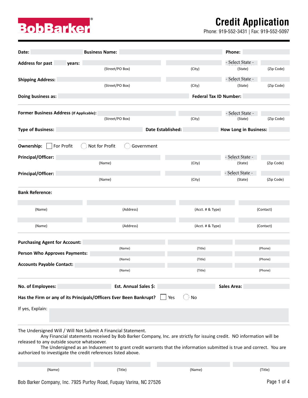## **Credit Application**

Phone: 919-552-3431 | Fax: 919-552-5097



| Date:                                                                                                       | <b>Business Name:</b>                                                                                                                                                                                                                          |                               | Phone:                       |
|-------------------------------------------------------------------------------------------------------------|------------------------------------------------------------------------------------------------------------------------------------------------------------------------------------------------------------------------------------------------|-------------------------------|------------------------------|
| <b>Address for past</b><br>years:                                                                           |                                                                                                                                                                                                                                                |                               | - Select State -             |
|                                                                                                             | (Street/PO Box)                                                                                                                                                                                                                                | (City)                        | (Zip Code)<br>(State)        |
| <b>Shipping Address:</b>                                                                                    |                                                                                                                                                                                                                                                |                               | - Select State -             |
|                                                                                                             | (Street/PO Box)                                                                                                                                                                                                                                | (City)                        | (Zip Code)<br>(State)        |
| Doing business as:                                                                                          |                                                                                                                                                                                                                                                | <b>Federal Tax ID Number:</b> |                              |
| Former Business Address (If Applicable):                                                                    |                                                                                                                                                                                                                                                |                               | - Select State -             |
|                                                                                                             | (Street/PO Box)                                                                                                                                                                                                                                | (City)                        | (Zip Code)<br>(State)        |
| <b>Type of Business:</b>                                                                                    |                                                                                                                                                                                                                                                | Date Established:             | <b>How Long in Business:</b> |
| For Profit<br>Ownership:                                                                                    | Not for Profit<br>Government                                                                                                                                                                                                                   |                               |                              |
| Principal/Officer:                                                                                          |                                                                                                                                                                                                                                                |                               | - Select State -             |
|                                                                                                             | (Name)                                                                                                                                                                                                                                         | (City)                        | (Zip Code)<br>(State)        |
| Principal/Officer:                                                                                          |                                                                                                                                                                                                                                                |                               | - Select State -             |
|                                                                                                             | (Name)                                                                                                                                                                                                                                         | (City)                        | (Zip Code)<br>(State)        |
| <b>Bank Reference:</b>                                                                                      |                                                                                                                                                                                                                                                |                               |                              |
| (Name)                                                                                                      | (Address)                                                                                                                                                                                                                                      | (Acct. # & Type)              | (Contact)                    |
|                                                                                                             |                                                                                                                                                                                                                                                |                               |                              |
| (Name)                                                                                                      | (Address)                                                                                                                                                                                                                                      | (Acct. # & Type)              | (Contact)                    |
| <b>Purchasing Agent for Account:</b>                                                                        |                                                                                                                                                                                                                                                |                               |                              |
| <b>Person Who Approves Payments:</b>                                                                        | (Name)                                                                                                                                                                                                                                         | (Title)                       | (Phone)                      |
|                                                                                                             | (Name)                                                                                                                                                                                                                                         | (Title)                       | (Phone)                      |
| <b>Accounts Payable Contact:</b>                                                                            | (Name)                                                                                                                                                                                                                                         | (Title)                       | (Phone)                      |
| No. of Employees:                                                                                           | Est. Annual Sales \$:                                                                                                                                                                                                                          | <b>Sales Area:</b>            |                              |
|                                                                                                             | Has the Firm or any of its Principals/Officers Ever Been Bankrupt?                                                                                                                                                                             | No<br>$\exists$ Yes           |                              |
| If yes, Explain:                                                                                            |                                                                                                                                                                                                                                                |                               |                              |
| The Undersigned Will / Will Not Submit A Financial Statement.<br>released to any outside source whatsoever. | Any Financial statements received by Bob Barker Company, Inc. are strictly for issuing credit. NO information will be<br>The Undersigned as an Inducement to grant credit warrants that the information submitted is true and correct. You are |                               |                              |
| authorized to investigate the credit references listed above.                                               |                                                                                                                                                                                                                                                |                               |                              |
| (Name)                                                                                                      | (Title)                                                                                                                                                                                                                                        | (Name)                        | (Title)                      |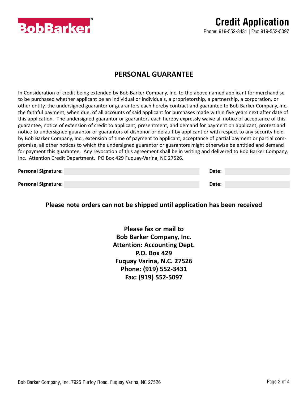

#### **PERSONAL GUARANTEE**

In Consideration of credit being extended by Bob Barker Company, Inc. to the above named applicant for merchandise to be purchased whether applicant be an individual or individuals, a proprietorship, a partnership, a corporation, or other entity, the undersigned guarantor or guarantors each hereby contract and guarantee to Bob Barker Company, Inc. the faithful payment, when due, of all accounts of said applicant for purchases made within five years next after date of this application. The undersigned guarantor or guarantors each hereby expressly waive all notice of acceptance of this guarantee, notice of extension of credit to applicant, presentment, and demand for payment on applicant, protest and notice to undersigned guarantor or guarantors of dishonor or default by applicant or with respect to any security held by Bob Barker Company, Inc., extension of time of payment to applicant, acceptance of partial payment or partial compromise, all other notices to which the undersigned guarantor or guarantors might otherwise be entitled and demand for payment this guarantee. Any revocation of this agreement shall be in writing and delivered to Bob Barker Company, Inc. Attention Credit Department. PO Box 429 Fuquay-Varina, NC 27526.

| <b>Personal Signature:</b> | Date: |
|----------------------------|-------|
|                            |       |
| <b>Personal Signature:</b> | Date: |

#### **Please note orders can not be shipped until application has been received**

**Please fax or mail to Bob Barker Company, Inc. Attention: Accounting Dept. P.O. Box 429 Fuquay Varina, N.C. 27526 Phone: (919) 552-3431 Fax: (919) 552-5097**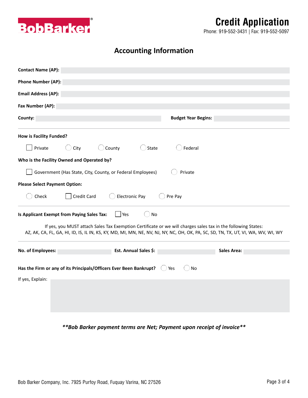

### **Credit Application**

Phone: 919-552-3431 | Fax: 919-552-5097

#### **Accounting Information**

| <b>Contact Name (AP):</b>                                                                                                                                                                                                                          |                            |
|----------------------------------------------------------------------------------------------------------------------------------------------------------------------------------------------------------------------------------------------------|----------------------------|
| <b>Phone Number (AP):</b>                                                                                                                                                                                                                          |                            |
| <b>Email Address (AP):</b>                                                                                                                                                                                                                         |                            |
| Fax Number (AP):                                                                                                                                                                                                                                   |                            |
| County:                                                                                                                                                                                                                                            | <b>Budget Year Begins:</b> |
| <b>How is Facility Funded?</b>                                                                                                                                                                                                                     |                            |
| Private<br>$\cup$ County<br>State<br>City                                                                                                                                                                                                          | Federal                    |
| Who is the Facility Owned and Operated by?                                                                                                                                                                                                         |                            |
| Government (Has State, City, County, or Federal Employees)                                                                                                                                                                                         | Private                    |
| <b>Please Select Payment Option:</b>                                                                                                                                                                                                               |                            |
| Credit Card<br><b>Electronic Pay</b><br>Check                                                                                                                                                                                                      | Pre Pay                    |
| Is Applicant Exempt from Paying Sales Tax:<br>Yes<br>No                                                                                                                                                                                            |                            |
| If yes, you MUST attach Sales Tax Exemption Certificate or we will charges sales tax in the following States:<br>AZ, AK, CA, FL, GA, HI, ID, IS, IL IN, KS, KY, MD, MI, MN, NE, NV, NJ, NY, NC, OH, OK, PA, SC, SD, TN, TX, UT, VI, WA, WV, WI, WY |                            |
| No. of Employees:<br>Est. Annual Sales \$:                                                                                                                                                                                                         | <b>Sales Area:</b>         |
|                                                                                                                                                                                                                                                    |                            |
| Has the Firm or any of its Principals/Officers Ever Been Bankrupt?                                                                                                                                                                                 | Yes<br>No                  |
| If yes, Explain:                                                                                                                                                                                                                                   |                            |
|                                                                                                                                                                                                                                                    |                            |
|                                                                                                                                                                                                                                                    |                            |
|                                                                                                                                                                                                                                                    |                            |

*\*\*Bob Barker payment terms are Net; Payment upon receipt of invoice\*\**